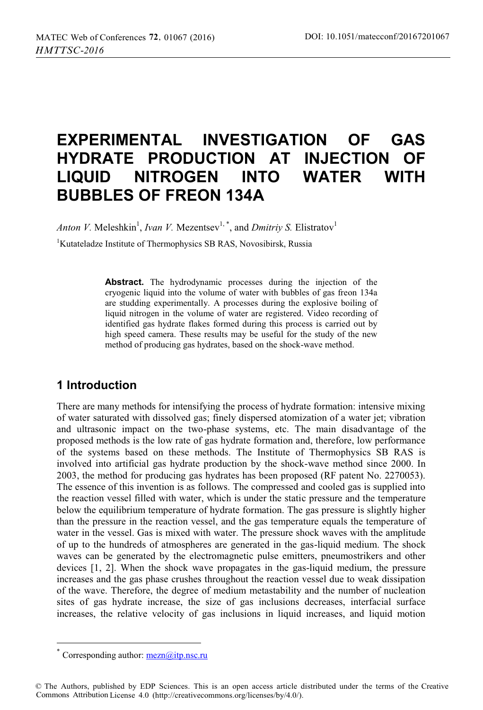# **EXPERIMENTAL INVESTIGATION OF GAS HYDRATE PRODUCTION AT INJECTION OF LIQUID NITROGEN INTO WATER WITH BUBBLES OF FREON 134A**

*Anton V.* Meleshkin<sup>1</sup>, *Ivan V.* Mezentsev<sup>1,\*</sup>, and *Dmitriy S.* Elistratov<sup>1</sup>

1 Kutateladze Institute of Thermophysics SB RAS, Novosibirsk, Russia

**Abstract.** The hydrodynamic processes during the injection of the cryogenic liquid into the volume of water with bubbles of gas freon 134a are studding experimentally. A processes during the explosive boiling of liquid nitrogen in the volume of water are registered. Video recording of identified gas hydrate flakes formed during this process is carried out by high speed camera. These results may be useful for the study of the new method of producing gas hydrates, based on the shock-wave method.

## **1 Introduction**

There are many methods for intensifying the process of hydrate formation: intensive mixing of water saturated with dissolved gas; finely dispersed atomization of a water jet; vibration and ultrasonic impact on the two-phase systems, etc. The main disadvantage of the proposed methods is the low rate of gas hydrate formation and, therefore, low performance of the systems based on these methods. The Institute of Thermophysics SB RAS is involved into artificial gas hydrate production by the shock-wave method since 2000. In 2003, the method for producing gas hydrates has been proposed (RF patent No. 2270053). The essence of this invention is as follows. The compressed and cooled gas is supplied into the reaction vessel filled with water, which is under the static pressure and the temperature below the equilibrium temperature of hydrate formation. The gas pressure is slightly higher than the pressure in the reaction vessel, and the gas temperature equals the temperature of water in the vessel. Gas is mixed with water. The pressure shock waves with the amplitude of up to the hundreds of atmospheres are generated in the gas-liquid medium. The shock waves can be generated by the electromagnetic pulse emitters, pneumostrikers and other devices [1, 2]. When the shock wave propagates in the gas-liquid medium, the pressure increases and the gas phase crushes throughout the reaction vessel due to weak dissipation of the wave. Therefore, the degree of medium metastability and the number of nucleation sites of gas hydrate increase, the size of gas inclusions decreases, interfacial surface increases, the relative velocity of gas inclusions in liquid increases, and liquid motion

 $\overline{a}$ 

Corresponding author:  $\frac{mean(a)}{itp.nsc}$ ru

<sup>©</sup> The Authors, published by EDP Sciences. This is an open access article distributed under the terms of the Creative Commons Attribution License 4.0 (http://creativecommons.org/licenses/by/4.0/).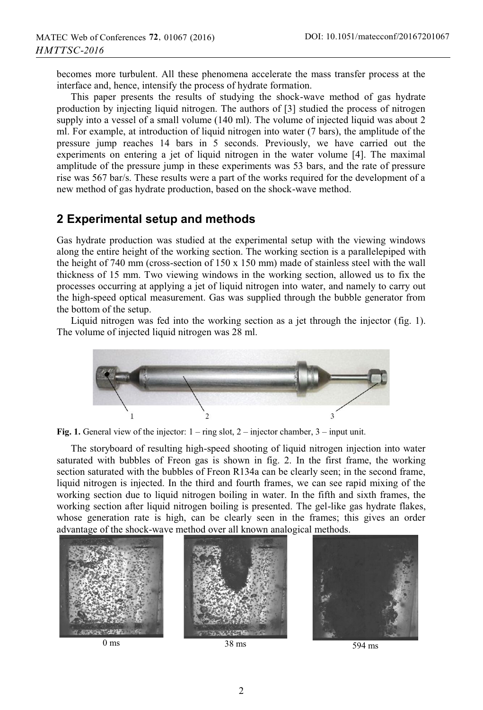becomes more turbulent. All these phenomena accelerate the mass transfer process at the interface and, hence, intensify the process of hydrate formation.

This paper presents the results of studying the shock-wave method of gas hydrate production by injecting liquid nitrogen. The authors of [3] studied the process of nitrogen supply into a vessel of a small volume (140 ml). The volume of injected liquid was about 2 ml. For example, at introduction of liquid nitrogen into water (7 bars), the amplitude of the pressure jump reaches 14 bars in 5 seconds. Previously, we have carried out the experiments on entering a jet of liquid nitrogen in the water volume [4]. The maximal amplitude of the pressure jump in these experiments was 53 bars, and the rate of pressure rise was 567 bar/s. These results were a part of the works required for the development of a new method of gas hydrate production, based on the shock-wave method.

#### **2 Experimental setup and methods**

Gas hydrate production was studied at the experimental setup with the viewing windows along the entire height of the working section. The working section is a parallelepiped with the height of 740 mm (cross-section of  $150 \times 150$  mm) made of stainless steel with the wall thickness of 15 mm. Two viewing windows in the working section, allowed us to fix the processes occurring at applying a jet of liquid nitrogen into water, and namely to carry out the high-speed optical measurement. Gas was supplied through the bubble generator from the bottom of the setup.

Liquid nitrogen was fed into the working section as a jet through the injector (fig. 1). The volume of injected liquid nitrogen was 28 ml.



Fig. 1. General view of the injector:  $1 -$  ring slot,  $2 -$  injector chamber,  $3 -$  input unit.

The storyboard of resulting high-speed shooting of liquid nitrogen injection into water saturated with bubbles of Freon gas is shown in fig. 2. In the first frame, the working section saturated with the bubbles of Freon R134a can be clearly seen; in the second frame, liquid nitrogen is injected. In the third and fourth frames, we can see rapid mixing of the working section due to liquid nitrogen boiling in water. In the fifth and sixth frames, the working section after liquid nitrogen boiling is presented. The gel-like gas hydrate flakes, whose generation rate is high, can be clearly seen in the frames; this gives an order advantage of the shock-wave method over all known analogical methods.





2